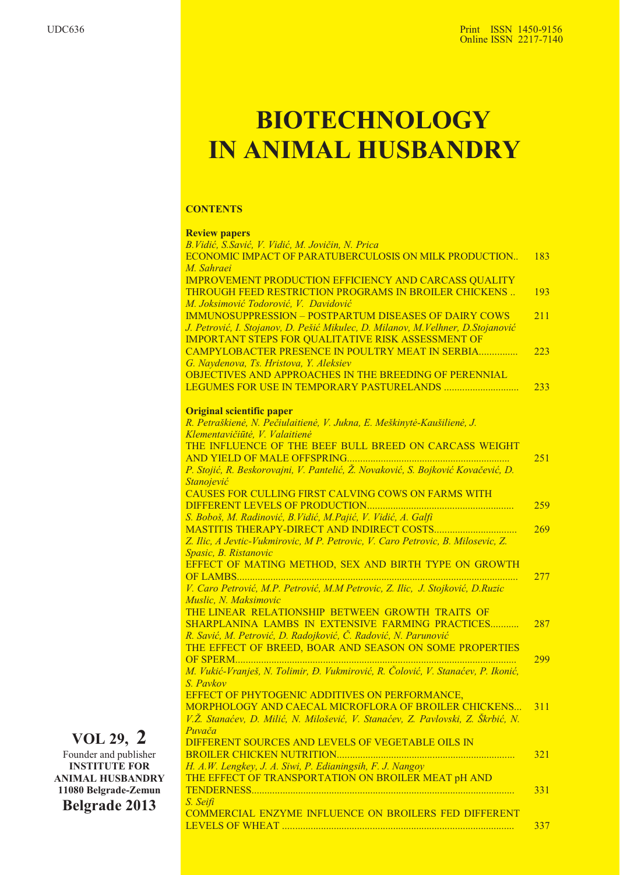## **BIOTECHNOLOGY IN ANIMAL HUSBANDRY**

#### **CONTENTS**

#### **Review papers** *B.Vidiæ, S.Saviæ, V. Vidiæ, M. Jovièin, N. Prica* ECONOMIC IMPACT OF PARATUBERCULOSIS ON MILK PRODUCTION. *M. Sahraei* IMPROVEMENT PRODUCTION EFFICIENCY AND CARCASS QUALITY THROUGH FEED RESTRICTION PROGRAMS IN BROILER CHICKENS .. *M. Joksimoviæ Todoroviæ, V. Davidoviæ* IMMUNOSUPPRESSION – POSTPARTUM DISEASES OF DAIRY COWS *J. Petroviæ, I. Stojanov, D. Pešiæ Mikulec, D. Milanov, M.Velhner, D.Stojanoviæ* IMPORTANT STEPS FOR QUALITATIVE RISK ASSESSMENT OF CAMPYLOBACTER PRESENCE IN POULTRY MEAT IN SERBIA............... *G. Naydenova, Ts. Hristova, Y. Aleksiev* OBJECTIVES AND APPROACHES IN THE BREEDING OF PERENNIAL LEGUMES FOR USE IN TEMPORARY PASTURELANDS ............................. **Original scientific paper** *R. Petraðkienë, N. Peèiulaitienë, V. Jukna, E. Meðkinytë-Kauðilienë, J. Klementavièiûtë, V. Valaitienë* THE INFLUENCE OF THE BEEF BULL BREED ON CARCASS WEIGHT AND YIELD OF MALE OFFSPRING............................................................... *P. Stojiæ, R. Beskorovajni, V. Panteliæ, -. Novakoviæ, S. Bojkoviæ Kovaèeviæ, D. Stanojeviæ* CAUSES FOR CULLING FIRST CALVING COWS ON FARMS WITH DIFFERENT LEVELS OF PRODUCTION......................................................... *S. Boboš, M. Radinoviæ, B.Vidiæ, M.Pajiæ, V. Vidiæ, A. Galfi* MASTITIS THERAPY-DIRECT AND INDIRECT COSTS................................ *Z. Ilic, A Jevtic-Vukmirovic, M P. Petrovic, V. Caro Petrovic, B. Milosevic, Z. Spasic, B. Ristanovic* EFFECT OF MATING METHOD, SEX AND BIRTH TYPE ON GROWTH OF LAMBS............................................................................................................. *V. Caro Petroviæ, M.P. Petroviæ, M.M Petrovic, Z. Ilic, J. Stojkoviæ, D.Ruzic Muslic, N. Maksimovic* THE LINEAR RELATIONSHIP BETWEEN GROWTH TRAITS OF SHARPLANINA LAMBS IN EXTENSIVE FARMING PRACTICES........... *R. Saviæ, M. Petroviæ, D. Radojkoviæ, È. Radoviæ, N. Parunoviæ* THE EFFECT OF BREED, BOAR AND SEASON ON SOME PROPERTIES OF SPERM............................................................................................................. *M. Vukiæ-Vranješ, N. Tolimir, Ð. Vukmiroviæ, R. Èoloviæ, V. Stanaæev, P. Ikoniæ, S. Pavkov* EFFECT OF PHYTOGENIC ADDITIVES ON PERFORMANCE, MORPHOLOGY AND CAECAL MICROFLORA OF BROILER CHICKENS... V.Ž. Stanaćev, D. Milić, N. Milošević, V. Stanaćev, Z. Pavlovski, Z. Škrbić, N. *Puvaèa* DIFFERENT SOURCES AND LEVELS OF VEGETABLE OILS IN BROILER CHICKEN NUTRITION..................................................................... *H. A.W. Lengkey, J. A. Siwi, P. Edianingsih, F. J. Nangoy* THE EFFECT OF TRANSPORTATION ON BROILER MEAT pH AND TENDERNESS...................................................................................................... *S. Seifi* COMMERCIAL ENZYME INFLUENCE ON BROILERS FED DIFFERENT LEVELS OF WHEAT .......................................................................................... 183 193 211 223 233 251 259 269 277 287 299 311 321 331 337

### **VOL 29, 2**

Founder and publisher **INSTITUTE FOR ANIMAL HUSBANDRY 11080 Belgrade-Zemun Belgrade 2013**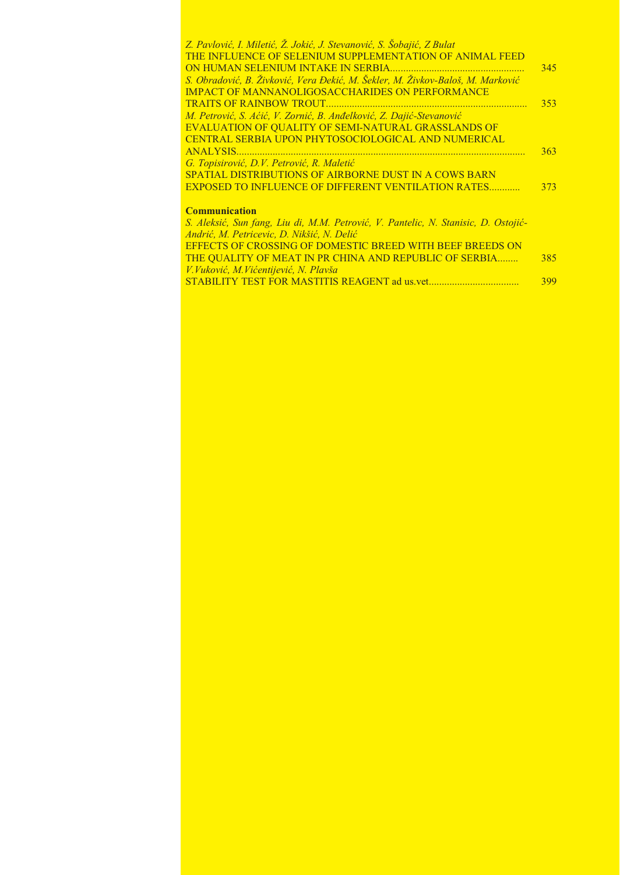| Z. Pavlović, I. Miletić, Ž. Jokić, J. Stevanović, S. Šobajić, Z Bulat                                                                                     |     |
|-----------------------------------------------------------------------------------------------------------------------------------------------------------|-----|
| THE INFLUENCE OF SELENIUM SUPPLEMENTATION OF ANIMAL FEED                                                                                                  |     |
|                                                                                                                                                           | 345 |
| S. Obradović, B. Živković, Vera Đekić, M. Šekler, M. Živkov-Baloš, M. Marković                                                                            |     |
| <b>IMPACT OF MANNANOLIGOSACCHARIDES ON PERFORMANCE</b>                                                                                                    |     |
|                                                                                                                                                           | 353 |
| M. Petrović, S. Aćić, V. Zornić, B. Anđelković, Z. Dajić-Stevanović                                                                                       |     |
| EVALUATION OF QUALITY OF SEMI-NATURAL GRASSLANDS OF                                                                                                       |     |
| CENTRAL SERBIA UPON PHYTOSOCIOLOGICAL AND NUMERICAL                                                                                                       |     |
|                                                                                                                                                           | 363 |
| G. Topisirović, D.V. Petrović, R. Maletić                                                                                                                 |     |
| <b>SPATIAL DISTRIBUTIONS OF AIRBORNE DUST IN A COWS BARN</b>                                                                                              |     |
| <b>EXPOSED TO INFLUENCE OF DIFFERENT VENTILATION RATES</b>                                                                                                | 373 |
|                                                                                                                                                           |     |
| <b>Communication</b>                                                                                                                                      |     |
| S. Aleksić, Sun fang, Liu di, M.M. Petrović, V. Pantelic, N. Stanisic, D. Ostojić-                                                                        |     |
| $1 \cdot 7 \cdot 1$ $\ell$ $\mathbb{R}$ $\ldots$ $\mathbb{R}$ $\mathbb{R}$ $\mathbb{R}$ $\mathbb{R}$ $\mathbb{R}$ $\mathbb{R}$ $\mathbb{R}$ $\ell$ $\ell$ |     |

| S. Aleksić, Sun fang, Liu di, M.M. Petrović, V. Pantelic, N. Stanisic, D. Ostojić- |     |
|------------------------------------------------------------------------------------|-----|
| Andrić, M. Petricevic, D. Nikšić, N. Delić                                         |     |
| <b>EFFECTS OF CROSSING OF DOMESTIC BREED WITH BEEF BREEDS ON</b>                   |     |
| THE QUALITY OF MEAT IN PR CHINA AND REPUBLIC OF SERBIA                             | 385 |
| V. Vuković, M. Vićentijević, N. Plavša                                             |     |
|                                                                                    | 399 |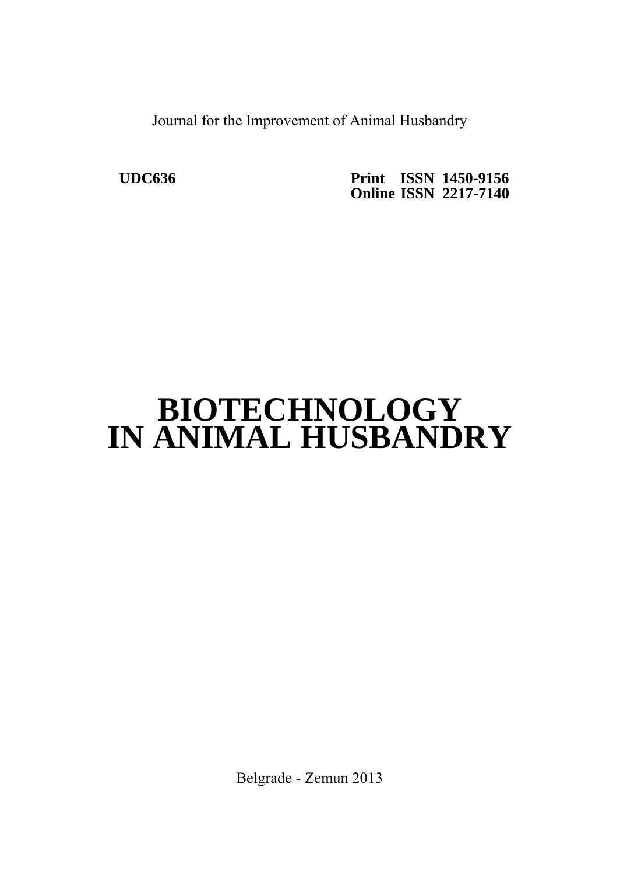Journal for the Improvement of Animal Husbandry

 **UDC636 Print ISSN 1450-9156 Online ISSN 2217-7140** 

# **BIOTECHNOLOGY IN ANIMAL HUSBANDRY**

Belgrade - Zemun 2013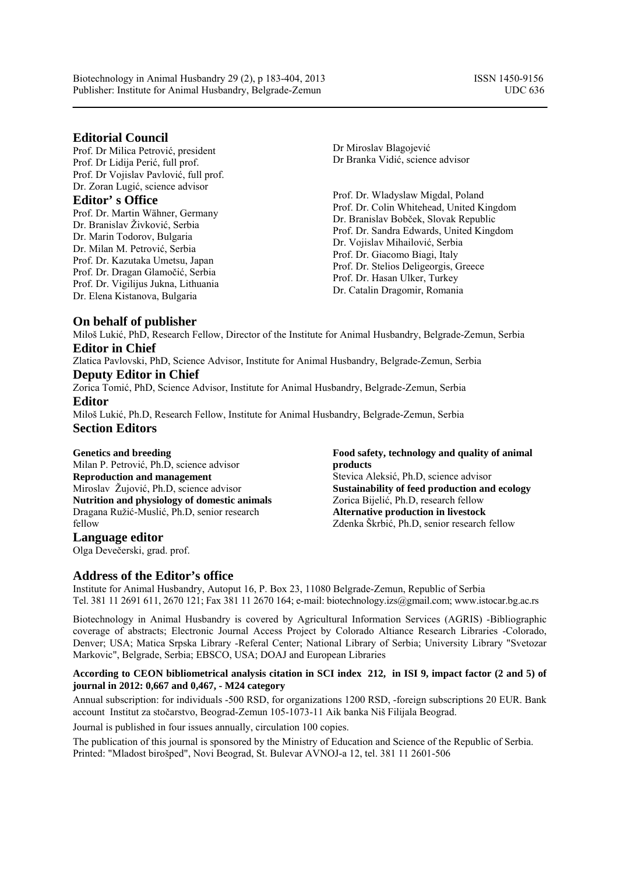Biotechnology in Animal Husbandry 29 (2), p 183-404, 2013 ISSN 1450-9156 Publisher: Institute for Animal Husbandry, Belgrade-Zemun UDC 636

#### **Editorial Council**

Prof. Dr Milica Petrović, president Prof. Dr Lidija Perić, full prof. Prof. Dr Vojislav Pavlović, full prof. Dr. Zoran Lugić, science advisor

#### **Editor' s Office**

Prof. Dr. Martin Wähner, Germany Dr. Branislav Živković, Serbia Dr. Marin Todorov, Bulgaria Dr. Milan M. Petrović, Serbia Prof. Dr. Kazutaka Umetsu, Japan Prof. Dr. Dragan Glamočić, Serbia Prof. Dr. Vigilijus Jukna, Lithuania Dr. Elena Kistanova, Bulgaria

Dr Miroslav Blagojević Dr Branka Vidić, science advisor

Prof. Dr. Wladyslaw Migdal, Poland Prof. Dr. Colin Whitehead, United Kingdom Dr. Branislav Bobček, Slovak Republic Prof. Dr. Sandra Edwards, United Kingdom Dr. Vojislav Mihailović, Serbia Prof. Dr. Giacomo Biagi, Italy Prof. Dr. Stelios Deligeorgis, Greece Prof. Dr. Hasan Ulker, Turkey Dr. Catalin Dragomir, Romania

#### **On behalf of publisher**

Miloš Lukić, PhD, Research Fellow, Director of the Institute for Animal Husbandry, Belgrade-Zemun, Serbia **Editor in Chief** 

Zlatica Pavlovski, PhD, Science Advisor, Institute for Animal Husbandry, Belgrade-Zemun, Serbia **Deputy Editor in Chief** 

Zorica Tomić, PhD, Science Advisor, Institute for Animal Husbandry, Belgrade-Zemun, Serbia **Editor** 

Miloš Lukić, Ph.D, Research Fellow, Institute for Animal Husbandry, Belgrade-Zemun, Serbia **Section Editors** 

#### **Genetics and breeding**

Milan P. Petrović, Ph.D, science advisor **Reproduction and management**  Miroslav Žujović, Ph.D, science advisor **Nutrition and physiology of domestic animals**  Dragana Ružić-Muslić, Ph.D, senior research fellow

**Language editor**  Olga Devečerski, grad. prof.

#### **Food safety, technology and quality of animal products**  Stevica Aleksić, Ph.D, science advisor **Sustainability of feed production and ecology**  Zorica Bijelić, Ph.D, research fellow

**Alternative production in livestock** Zdenka Škrbić, Ph.D, senior research fellow

### **Address of the Editor's office**

Institute for Animal Husbandry, Autoput 16, P. Box 23, 11080 Belgrade-Zemun, Republic of Serbia Tel. 381 11 2691 611, 2670 121; Fax 381 11 2670 164; e-mail: biotechnology.izs@gmail.com; www.istocar.bg.ac.rs

Biotechnology in Animal Husbandry is covered by Agricultural Information Services (AGRIS) -Bibliographic coverage of abstracts; Electronic Journal Access Project by Colorado Altiance Research Libraries -Colorado, Denver; USA; Matica Srpska Library -Referal Center; National Library of Serbia; University Library "Svetozar Markovic", Belgrade, Serbia; EBSCO, USA; DOAJ and European Libraries

#### **According to CEON bibliometrical analysis citation in SCI index 212, in ISI 9, impact factor (2 and 5) of journal in 2012: 0,667 and 0,467, - M24 category**

Annual subscription: for individuals -500 RSD, for organizations 1200 RSD, -foreign subscriptions 20 EUR. Bank account Institut za stočarstvo, Beograd-Zemun 105-1073-11 Aik banka Niš Filijala Beograd.

Journal is published in four issues annually, circulation 100 copies.

The publication of this journal is sponsored by the Ministry of Education and Science of the Republic of Serbia. Printed: "Mladost birošped", Novi Beograd, St. Bulevar AVNOJ-a 12, tel. 381 11 2601-506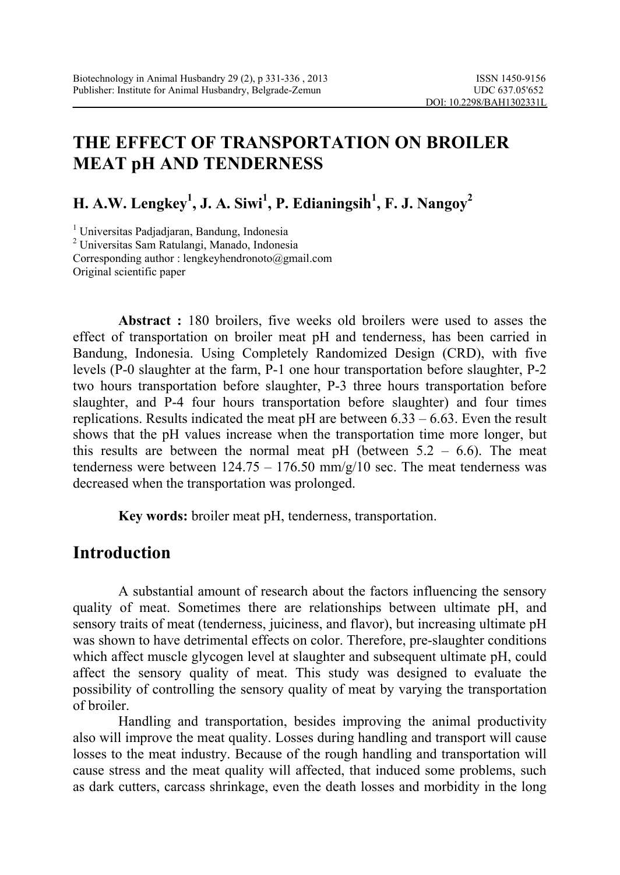## **THE EFFECT OF TRANSPORTATION ON BROILER MEAT pH AND TENDERNESS**

**H. A.W. Lengkey<sup>1</sup> , J. A. Siwi<sup>1</sup> , P. Edianingsih1 , F. J. Nangoy<sup>2</sup>**

<sup>1</sup> Universitas Padjadjaran, Bandung, Indonesia<br><sup>2</sup> Universites Sam Betulangi, Manado, Indonesia Universitas Sam Ratulangi, Manado, Indonesia Corresponding author : [lengkeyhendronoto@gmail.com](mailto:lengkeyhendronoto@gmail.com)  Original scientific paper

 **Abstract :** 180 broilers, five weeks old broilers were used to asses the effect of transportation on broiler meat pH and tenderness, has been carried in Bandung, Indonesia. Using Completely Randomized Design (CRD), with five levels (P-0 slaughter at the farm, P-1 one hour transportation before slaughter, P-2 two hours transportation before slaughter, P-3 three hours transportation before slaughter, and P-4 four hours transportation before slaughter) and four times replications. Results indicated the meat pH are between 6.33 – 6.63. Even the result shows that the pH values increase when the transportation time more longer, but this results are between the normal meat pH (between  $5.2 - 6.6$ ). The meat tenderness were between  $124.75 - 176.50$  mm/g/10 sec. The meat tenderness was decreased when the transportation was prolonged.

**Key words:** broiler meat pH, tenderness, transportation.

### **Introduction**

A substantial amount of research about the factors influencing the sensory quality of meat. Sometimes there are relationships between ultimate pH, and sensory traits of meat (tenderness, juiciness, and flavor), but increasing ultimate pH was shown to have detrimental effects on color. Therefore, pre-slaughter conditions which affect muscle glycogen level at slaughter and subsequent ultimate pH, could affect the sensory quality of meat. This study was designed to evaluate the possibility of controlling the sensory quality of meat by varying the transportation of broiler.

Handling and transportation, besides improving the animal productivity also will improve the meat quality. Losses during handling and transport will cause losses to the meat industry. Because of the rough handling and transportation will cause stress and the meat quality will affected, that induced some problems, such as dark cutters, carcass shrinkage, even the death losses and morbidity in the long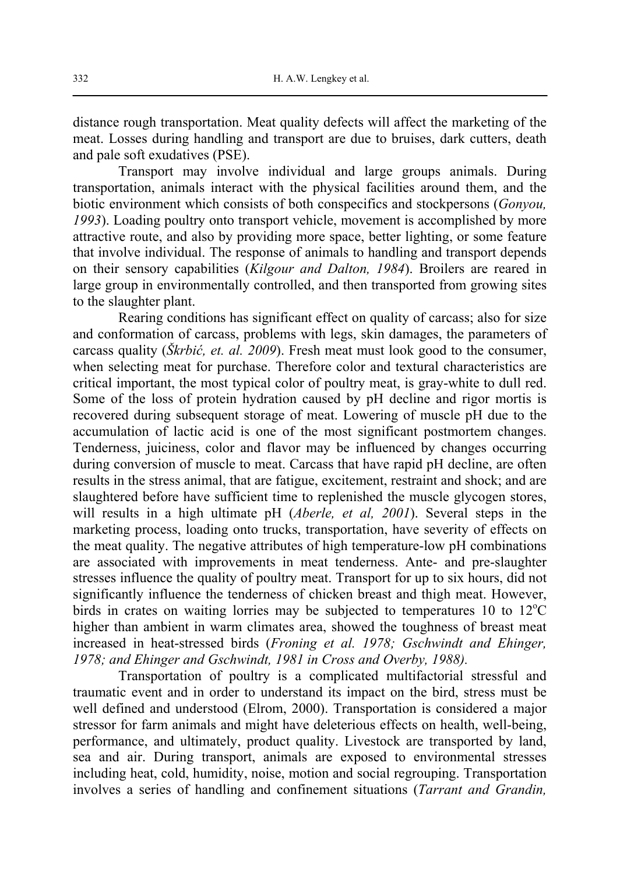distance rough transportation. Meat quality defects will affect the marketing of the meat. Losses during handling and transport are due to bruises, dark cutters, death and pale soft exudatives (PSE).

Transport may involve individual and large groups animals. During transportation, animals interact with the physical facilities around them, and the biotic environment which consists of both conspecifics and stockpersons (*Gonyou, 1993*). Loading poultry onto transport vehicle, movement is accomplished by more attractive route, and also by providing more space, better lighting, or some feature that involve individual. The response of animals to handling and transport depends on their sensory capabilities (*Kilgour and Dalton, 1984*). Broilers are reared in large group in environmentally controlled, and then transported from growing sites to the slaughter plant.

Rearing conditions has significant effect on quality of carcass; also for size and conformation of carcass, problems with legs, skin damages, the parameters of carcass quality (*Škrbić, et. al. 2009*). Fresh meat must look good to the consumer, when selecting meat for purchase. Therefore color and textural characteristics are critical important, the most typical color of poultry meat, is gray-white to dull red. Some of the loss of protein hydration caused by pH decline and rigor mortis is recovered during subsequent storage of meat. Lowering of muscle pH due to the accumulation of lactic acid is one of the most significant postmortem changes. Tenderness, juiciness, color and flavor may be influenced by changes occurring during conversion of muscle to meat. Carcass that have rapid pH decline, are often results in the stress animal, that are fatigue, excitement, restraint and shock; and are slaughtered before have sufficient time to replenished the muscle glycogen stores, will results in a high ultimate pH (*Aberle, et al, 2001*). Several steps in the marketing process, loading onto trucks, transportation, have severity of effects on the meat quality. The negative attributes of high temperature-low pH combinations are associated with improvements in meat tenderness. Ante- and pre-slaughter stresses influence the quality of poultry meat. Transport for up to six hours, did not significantly influence the tenderness of chicken breast and thigh meat. However, birds in crates on waiting lorries may be subjected to temperatures 10 to  $12^{\circ}$ C higher than ambient in warm climates area, showed the toughness of breast meat increased in heat-stressed birds (*Froning et al. 1978; Gschwindt and Ehinger, 1978; and Ehinger and Gschwindt, 1981 in Cross and Overby, 1988).*

Transportation of poultry is a complicated multifactorial stressful and traumatic event and in order to understand its impact on the bird, stress must be well defined and understood (Elrom, 2000). Transportation is considered a major stressor for farm animals and might have deleterious effects on health, well-being, performance, and ultimately, product quality. Livestock are transported by land, sea and air. During transport, animals are exposed to environmental stresses including heat, cold, humidity, noise, motion and social regrouping. Transportation involves a series of handling and confinement situations (*Tarrant and Grandin,*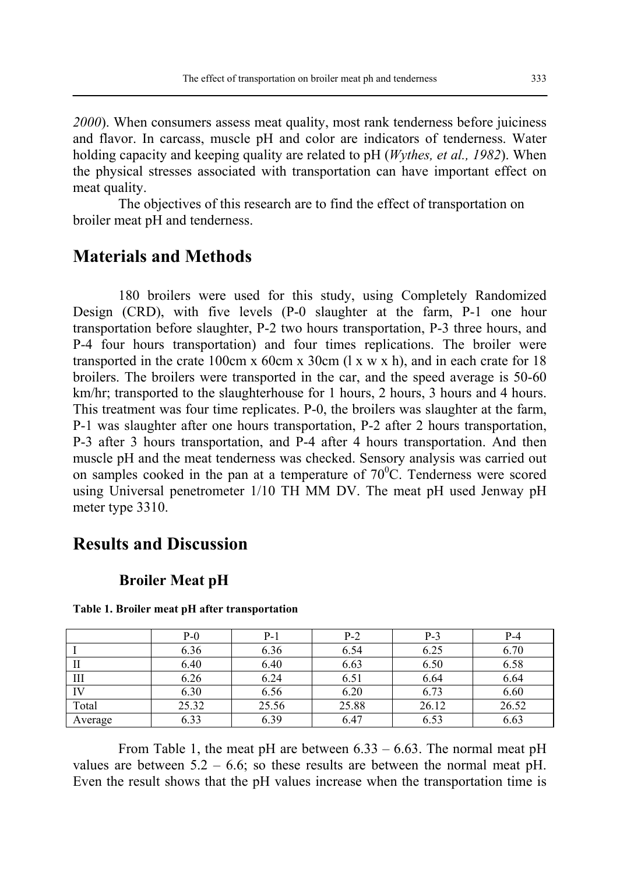*2000*). When consumers assess meat quality, most rank tenderness before juiciness and flavor. In carcass, muscle pH and color are indicators of tenderness. Water holding capacity and keeping quality are related to pH (*Wythes, et al., 1982*). When the physical stresses associated with transportation can have important effect on meat quality.

The objectives of this research are to find the effect of transportation on broiler meat pH and tenderness.

### **Materials and Methods**

180 broilers were used for this study, using Completely Randomized Design (CRD), with five levels (P-0 slaughter at the farm, P-1 one hour transportation before slaughter, P-2 two hours transportation, P-3 three hours, and P-4 four hours transportation) and four times replications. The broiler were transported in the crate 100cm x 60cm x 30cm  $(1 \times w \times h)$ , and in each crate for 18 broilers. The broilers were transported in the car, and the speed average is 50-60 km/hr; transported to the slaughterhouse for 1 hours, 2 hours, 3 hours and 4 hours. This treatment was four time replicates. P-0, the broilers was slaughter at the farm, P-1 was slaughter after one hours transportation, P-2 after 2 hours transportation, P-3 after 3 hours transportation, and P-4 after 4 hours transportation. And then muscle pH and the meat tenderness was checked. Sensory analysis was carried out on samples cooked in the pan at a temperature of  $70^{\circ}$ C. Tenderness were scored using Universal penetrometer 1/10 TH MM DV. The meat pH used Jenway pH meter type 3310.

### **Results and Discussion**

#### **Broiler Meat pH**

|         | $P-0$ | P-1   | $P-2$ | $P-3$ | P-4   |
|---------|-------|-------|-------|-------|-------|
|         | 6.36  | 6.36  | 6.54  | 6.25  | 6.70  |
|         | 6.40  | 6.40  | 6.63  | 6.50  | 6.58  |
| Ш       | 6.26  | 6.24  | 6.51  | 6.64  | 6.64  |
| IV      | 6.30  | 6.56  | 6.20  | 6.73  | 6.60  |
| Total   | 25.32 | 25.56 | 25.88 | 26.12 | 26.52 |
| Average | 6.33  | 6.39  | 6.47  | 6.53  | 6.63  |

**Table 1. Broiler meat pH after transportation** 

From Table 1, the meat pH are between 6.33 – 6.63. The normal meat pH values are between  $5.2 - 6.6$ ; so these results are between the normal meat pH. Even the result shows that the pH values increase when the transportation time is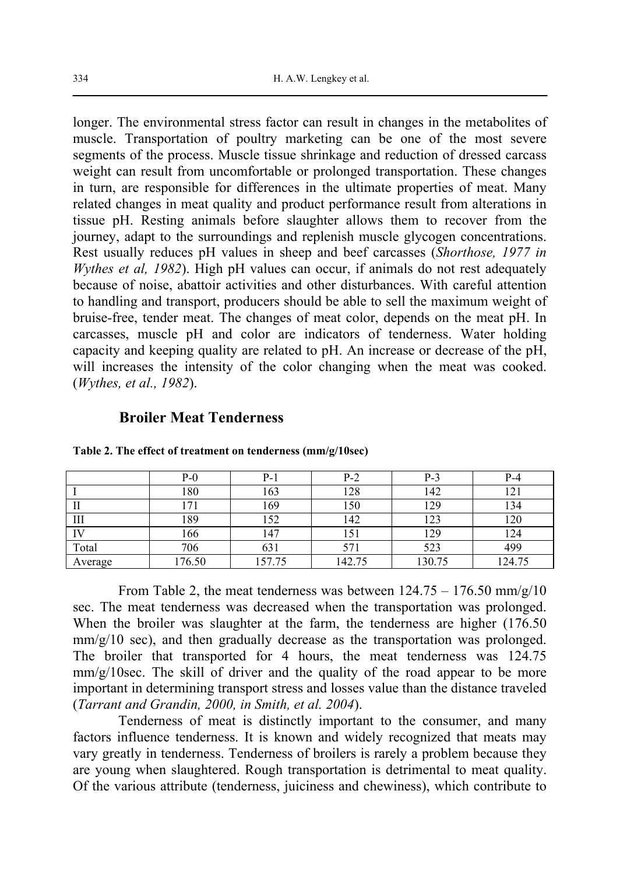longer. The environmental stress factor can result in changes in the metabolites of muscle. Transportation of poultry marketing can be one of the most severe segments of the process. Muscle tissue shrinkage and reduction of dressed carcass weight can result from uncomfortable or prolonged transportation. These changes in turn, are responsible for differences in the ultimate properties of meat. Many related changes in meat quality and product performance result from alterations in tissue pH. Resting animals before slaughter allows them to recover from the journey, adapt to the surroundings and replenish muscle glycogen concentrations. Rest usually reduces pH values in sheep and beef carcasses (*Shorthose, 1977 in Wythes et al, 1982*). High pH values can occur, if animals do not rest adequately because of noise, abattoir activities and other disturbances. With careful attention to handling and transport, producers should be able to sell the maximum weight of bruise-free, tender meat. The changes of meat color, depends on the meat pH. In carcasses, muscle pH and color are indicators of tenderness. Water holding capacity and keeping quality are related to pH. An increase or decrease of the pH, will increases the intensity of the color changing when the meat was cooked. (*Wythes, et al., 1982*).

#### **Broiler Meat Tenderness**

|         | $P-0$  | $P-1$  | $P-2$  | $P-3$  | $P-4$  |
|---------|--------|--------|--------|--------|--------|
|         | 180    | 163    | 128    | 142    | 121    |
| П       | 171    | 169    | 150    | 129    | 134    |
| Ш       | 189    | 152    | 142    | 123    | 120    |
| IV      | 166    | 147    | 151    | 129    | 124    |
| Total   | 706    | 631    | 571    | 523    | 499    |
| Average | 176.50 | 157.75 | 142.75 | 130.75 | 124.75 |

**Table 2. The effect of treatment on tenderness (mm/g/10sec)** 

From Table 2, the meat tenderness was between  $124.75 - 176.50 \text{ mm/g}/10$ sec. The meat tenderness was decreased when the transportation was prolonged. When the broiler was slaughter at the farm, the tenderness are higher (176.50) mm/g/10 sec), and then gradually decrease as the transportation was prolonged. The broiler that transported for 4 hours, the meat tenderness was 124.75  $mm/g/10$ sec. The skill of driver and the quality of the road appear to be more important in determining transport stress and losses value than the distance traveled (*Tarrant and Grandin, 2000, in Smith, et al. 2004*).

Tenderness of meat is distinctly important to the consumer, and many factors influence tenderness. It is known and widely recognized that meats may vary greatly in tenderness. Tenderness of broilers is rarely a problem because they are young when slaughtered. Rough transportation is detrimental to meat quality. Of the various attribute (tenderness, juiciness and chewiness), which contribute to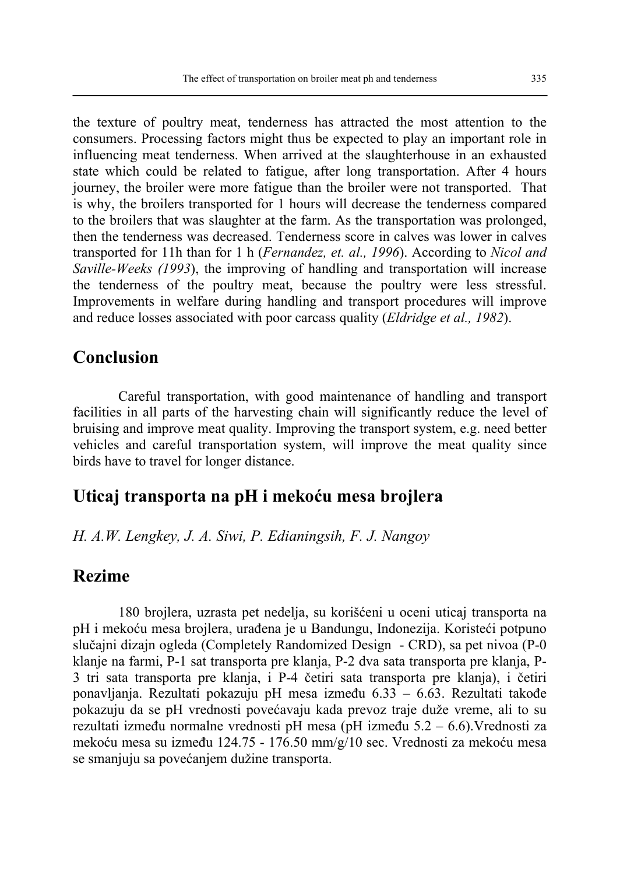the texture of poultry meat, tenderness has attracted the most attention to the consumers. Processing factors might thus be expected to play an important role in influencing meat tenderness. When arrived at the slaughterhouse in an exhausted state which could be related to fatigue, after long transportation. After 4 hours journey, the broiler were more fatigue than the broiler were not transported. That is why, the broilers transported for 1 hours will decrease the tenderness compared to the broilers that was slaughter at the farm. As the transportation was prolonged, then the tenderness was decreased. Tenderness score in calves was lower in calves transported for 11h than for 1 h (*Fernandez, et. al., 1996*). According to *Nicol and Saville-Weeks (1993*), the improving of handling and transportation will increase the tenderness of the poultry meat, because the poultry were less stressful. Improvements in welfare during handling and transport procedures will improve and reduce losses associated with poor carcass quality (*Eldridge et al., 1982*).

### **Conclusion**

Careful transportation, with good maintenance of handling and transport facilities in all parts of the harvesting chain will significantly reduce the level of bruising and improve meat quality. Improving the transport system, e.g. need better vehicles and careful transportation system, will improve the meat quality since birds have to travel for longer distance.

### **Uticaj transporta na pH i mekoću mesa brojlera**

### *H. A.W. Lengkey, J. A. Siwi, P. Edianingsih, F. J. Nangoy*

### **Rezime**

180 brojlera, uzrasta pet nedelja, su korišćeni u oceni uticaj transporta na pH i mekoću mesa brojlera, urađena je u Bandungu, Indonezija. Koristeći potpuno slučajni dizajn ogleda (Completely Randomized Design - CRD), sa pet nivoa (P-0 klanje na farmi, P-1 sat transporta pre klanja, P-2 dva sata transporta pre klanja, P-3 tri sata transporta pre klanja, i P-4 četiri sata transporta pre klanja), i četiri ponavljanja. Rezultati pokazuju pH mesa između 6.33 – 6.63. Rezultati takođe pokazuju da se pH vrednosti povećavaju kada prevoz traje duže vreme, ali to su rezultati između normalne vrednosti pH mesa (pH između 5.2 – 6.6).Vrednosti za mekoću mesa su između 124.75 - 176.50 mm/g/10 sec. Vrednosti za mekoću mesa se smanjuju sa povećanjem dužine transporta.